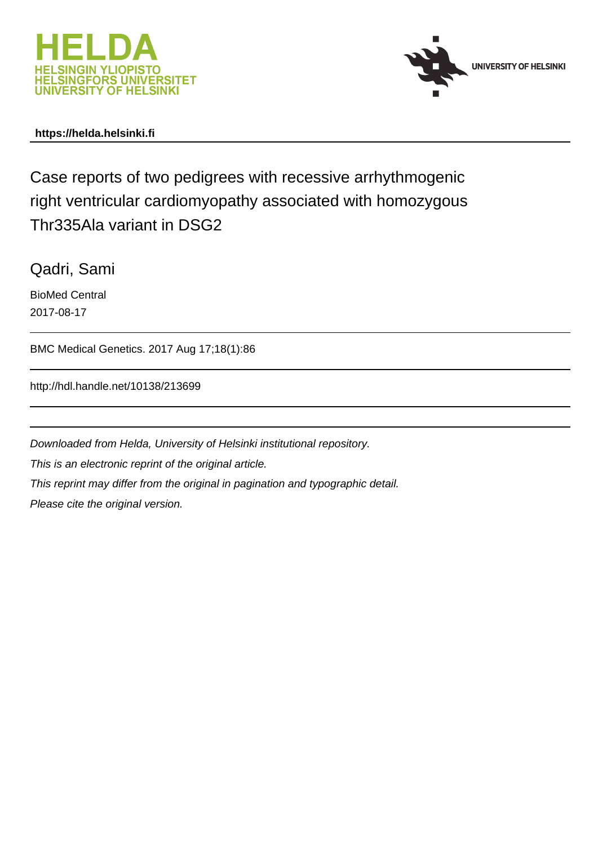



## **https://helda.helsinki.fi**

Case reports of two pedigrees with recessive arrhythmogenic right ventricular cardiomyopathy associated with homozygous Thr335Ala variant in DSG2

Qadri, Sami

BioMed Central 2017-08-17

BMC Medical Genetics. 2017 Aug 17;18(1):86

http://hdl.handle.net/10138/213699

Downloaded from Helda, University of Helsinki institutional repository. This is an electronic reprint of the original article. This reprint may differ from the original in pagination and typographic detail. Please cite the original version.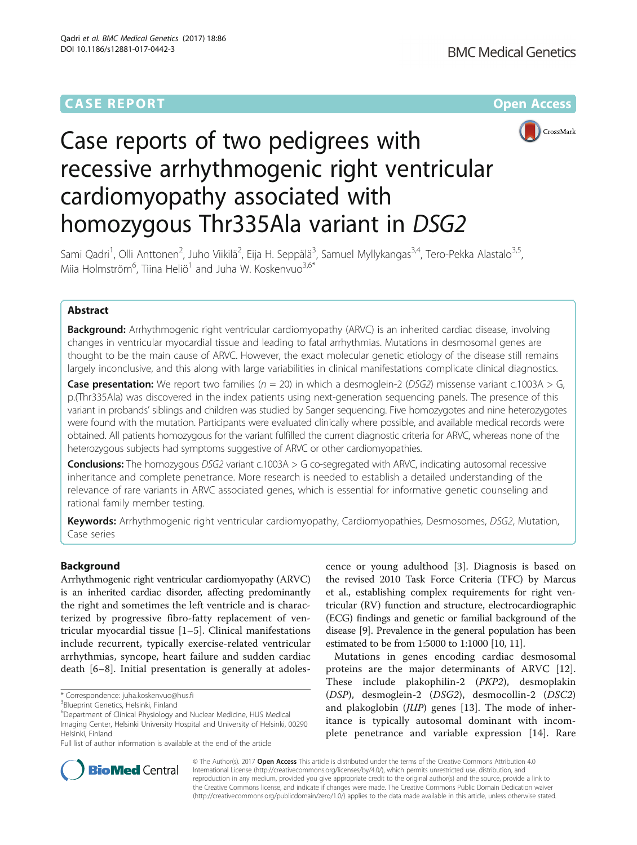# **CASE REPORT CASE ACCESS**





# Case reports of two pedigrees with recessive arrhythmogenic right ventricular cardiomyopathy associated with homozygous Thr335Ala variant in DSG2

Sami Qadri<sup>1</sup>, Olli Anttonen<sup>2</sup>, Juho Viikilä<sup>2</sup>, Eija H. Seppälä<sup>3</sup>, Samuel Myllykangas<sup>3,4</sup>, Tero-Pekka Alastalo<sup>3,5</sup>, Miia Holmström<sup>6</sup>, Tiina Heliö<sup>1</sup> and Juha W. Koskenvuo<sup>3,6\*</sup>

## Abstract

**Background:** Arrhythmogenic right ventricular cardiomyopathy (ARVC) is an inherited cardiac disease, involving changes in ventricular myocardial tissue and leading to fatal arrhythmias. Mutations in desmosomal genes are thought to be the main cause of ARVC. However, the exact molecular genetic etiology of the disease still remains largely inconclusive, and this along with large variabilities in clinical manifestations complicate clinical diagnostics.

**Case presentation:** We report two families ( $n = 20$ ) in which a desmoglein-2 (DSG2) missense variant c.1003A > G, p.(Thr335Ala) was discovered in the index patients using next-generation sequencing panels. The presence of this variant in probands' siblings and children was studied by Sanger sequencing. Five homozygotes and nine heterozygotes were found with the mutation. Participants were evaluated clinically where possible, and available medical records were obtained. All patients homozygous for the variant fulfilled the current diagnostic criteria for ARVC, whereas none of the heterozygous subjects had symptoms suggestive of ARVC or other cardiomyopathies.

**Conclusions:** The homozygous DSG2 variant c.1003A  $>$  G co-segregated with ARVC, indicating autosomal recessive inheritance and complete penetrance. More research is needed to establish a detailed understanding of the relevance of rare variants in ARVC associated genes, which is essential for informative genetic counseling and rational family member testing.

Keywords: Arrhythmogenic right ventricular cardiomyopathy, Cardiomyopathies, Desmosomes, DSG2, Mutation, Case series

## Background

Arrhythmogenic right ventricular cardiomyopathy (ARVC) is an inherited cardiac disorder, affecting predominantly the right and sometimes the left ventricle and is characterized by progressive fibro-fatty replacement of ventricular myocardial tissue [1–5]. Clinical manifestations include recurrent, typically exercise-related ventricular arrhythmias, syncope, heart failure and sudden cardiac death [6–8]. Initial presentation is generally at adolescence or young adulthood [3]. Diagnosis is based on the revised 2010 Task Force Criteria (TFC) by Marcus et al., establishing complex requirements for right ventricular (RV) function and structure, electrocardiographic (ECG) findings and genetic or familial background of the disease [9]. Prevalence in the general population has been estimated to be from 1:5000 to 1:1000 [10, 11].

Mutations in genes encoding cardiac desmosomal proteins are the major determinants of ARVC [12]. These include plakophilin-2 (PKP2), desmoplakin (DSP), desmoglein-2 (DSG2), desmocollin-2 (DSC2) and plakoglobin (JUP) genes [13]. The mode of inheritance is typically autosomal dominant with incomplete penetrance and variable expression [14]. Rare



© The Author(s). 2017 **Open Access** This article is distributed under the terms of the Creative Commons Attribution 4.0 International License [\(http://creativecommons.org/licenses/by/4.0/](http://creativecommons.org/licenses/by/4.0/)), which permits unrestricted use, distribution, and reproduction in any medium, provided you give appropriate credit to the original author(s) and the source, provide a link to the Creative Commons license, and indicate if changes were made. The Creative Commons Public Domain Dedication waiver [\(http://creativecommons.org/publicdomain/zero/1.0/](http://creativecommons.org/publicdomain/zero/1.0/)) applies to the data made available in this article, unless otherwise stated.

<sup>\*</sup> Correspondence: [juha.koskenvuo@hus.fi](mailto:juha.koskenvuo@hus.fi) <sup>3</sup>

<sup>&</sup>lt;sup>3</sup>Blueprint Genetics, Helsinki, Finland

<sup>&</sup>lt;sup>6</sup>Department of Clinical Physiology and Nuclear Medicine, HUS Medical Imaging Center, Helsinki University Hospital and University of Helsinki, 00290 Helsinki, Finland

Full list of author information is available at the end of the article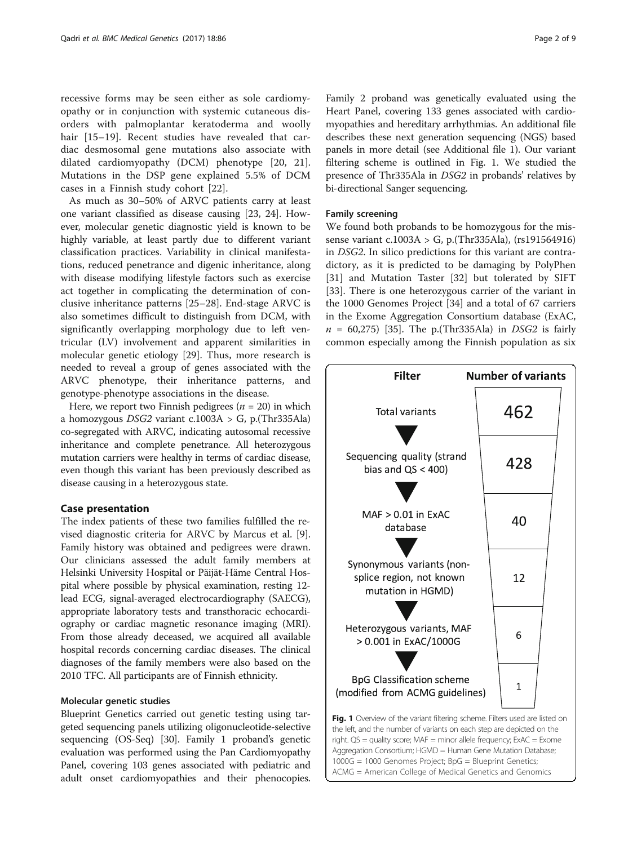recessive forms may be seen either as sole cardiomyopathy or in conjunction with systemic cutaneous disorders with palmoplantar keratoderma and woolly hair [15–19]. Recent studies have revealed that cardiac desmosomal gene mutations also associate with dilated cardiomyopathy (DCM) phenotype [20, 21]. Mutations in the DSP gene explained 5.5% of DCM cases in a Finnish study cohort [22].

As much as 30–50% of ARVC patients carry at least one variant classified as disease causing [23, 24]. However, molecular genetic diagnostic yield is known to be highly variable, at least partly due to different variant classification practices. Variability in clinical manifestations, reduced penetrance and digenic inheritance, along with disease modifying lifestyle factors such as exercise act together in complicating the determination of conclusive inheritance patterns [25–28]. End-stage ARVC is also sometimes difficult to distinguish from DCM, with significantly overlapping morphology due to left ventricular (LV) involvement and apparent similarities in molecular genetic etiology [29]. Thus, more research is needed to reveal a group of genes associated with the ARVC phenotype, their inheritance patterns, and genotype-phenotype associations in the disease.

Here, we report two Finnish pedigrees ( $n = 20$ ) in which a homozygous *DSG2* variant  $c.1003A > G$ , p.(Thr335Ala) co-segregated with ARVC, indicating autosomal recessive inheritance and complete penetrance. All heterozygous mutation carriers were healthy in terms of cardiac disease, even though this variant has been previously described as disease causing in a heterozygous state.

## Case presentation

The index patients of these two families fulfilled the revised diagnostic criteria for ARVC by Marcus et al. [9]. Family history was obtained and pedigrees were drawn. Our clinicians assessed the adult family members at Helsinki University Hospital or Päijät-Häme Central Hospital where possible by physical examination, resting 12 lead ECG, signal-averaged electrocardiography (SAECG), appropriate laboratory tests and transthoracic echocardiography or cardiac magnetic resonance imaging (MRI). From those already deceased, we acquired all available hospital records concerning cardiac diseases. The clinical diagnoses of the family members were also based on the 2010 TFC. All participants are of Finnish ethnicity.

#### Molecular genetic studies

Blueprint Genetics carried out genetic testing using targeted sequencing panels utilizing oligonucleotide-selective sequencing (OS-Seq) [30]. Family 1 proband's genetic evaluation was performed using the Pan Cardiomyopathy Panel, covering 103 genes associated with pediatric and adult onset cardiomyopathies and their phenocopies.

Family 2 proband was genetically evaluated using the Heart Panel, covering 133 genes associated with cardiomyopathies and hereditary arrhythmias. An additional file describes these next generation sequencing (NGS) based panels in more detail (see Additional file 1). Our variant filtering scheme is outlined in Fig. 1. We studied the presence of Thr335Ala in DSG2 in probands' relatives by bi-directional Sanger sequencing.

## Family screening

We found both probands to be homozygous for the missense variant c.1003A > G, p.(Thr335Ala), (rs191564916) in DSG2. In silico predictions for this variant are contradictory, as it is predicted to be damaging by PolyPhen [31] and Mutation Taster [32] but tolerated by SIFT [33]. There is one heterozygous carrier of the variant in the 1000 Genomes Project [34] and a total of 67 carriers in the Exome Aggregation Consortium database (ExAC,  $n = 60,275$  [35]. The p. (Thr 335 Ala) in DSG2 is fairly common especially among the Finnish population as six



right.  $QS =$  quality score;  $MAF =$  minor allele frequency;  $ExAC =$  Exome Aggregation Consortium; HGMD = Human Gene Mutation Database; 1000G = 1000 Genomes Project; BpG = Blueprint Genetics; ACMG = American College of Medical Genetics and Genomics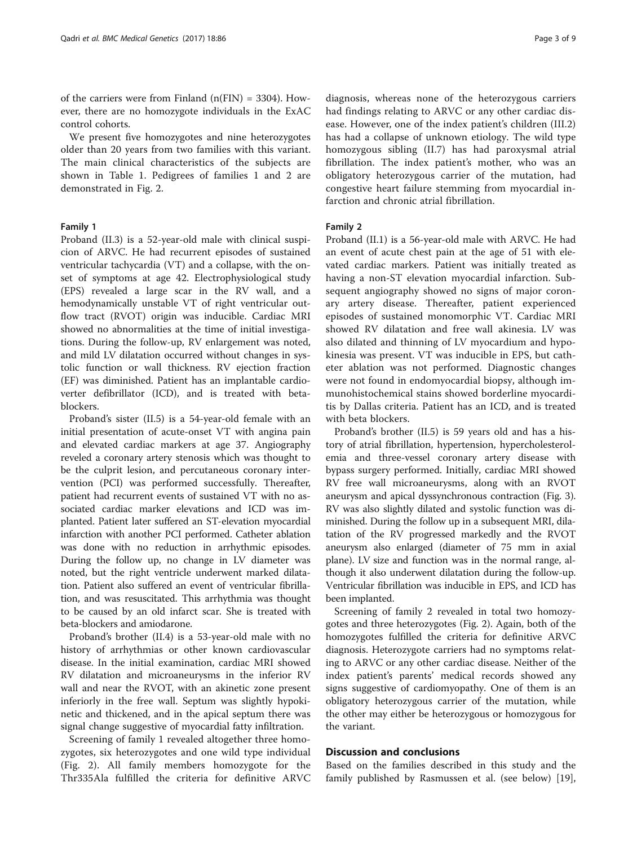of the carriers were from Finland  $(n(FIN) = 3304)$ . However, there are no homozygote individuals in the ExAC control cohorts.

We present five homozygotes and nine heterozygotes older than 20 years from two families with this variant. The main clinical characteristics of the subjects are shown in Table 1. Pedigrees of families 1 and 2 are demonstrated in Fig. 2.

### Family 1

Proband (II.3) is a 52-year-old male with clinical suspicion of ARVC. He had recurrent episodes of sustained ventricular tachycardia (VT) and a collapse, with the onset of symptoms at age 42. Electrophysiological study (EPS) revealed a large scar in the RV wall, and a hemodynamically unstable VT of right ventricular outflow tract (RVOT) origin was inducible. Cardiac MRI showed no abnormalities at the time of initial investigations. During the follow-up, RV enlargement was noted, and mild LV dilatation occurred without changes in systolic function or wall thickness. RV ejection fraction (EF) was diminished. Patient has an implantable cardioverter defibrillator (ICD), and is treated with betablockers.

Proband's sister (II.5) is a 54-year-old female with an initial presentation of acute-onset VT with angina pain and elevated cardiac markers at age 37. Angiography reveled a coronary artery stenosis which was thought to be the culprit lesion, and percutaneous coronary intervention (PCI) was performed successfully. Thereafter, patient had recurrent events of sustained VT with no associated cardiac marker elevations and ICD was implanted. Patient later suffered an ST-elevation myocardial infarction with another PCI performed. Catheter ablation was done with no reduction in arrhythmic episodes. During the follow up, no change in LV diameter was noted, but the right ventricle underwent marked dilatation. Patient also suffered an event of ventricular fibrillation, and was resuscitated. This arrhythmia was thought to be caused by an old infarct scar. She is treated with beta-blockers and amiodarone.

Proband's brother (II.4) is a 53-year-old male with no history of arrhythmias or other known cardiovascular disease. In the initial examination, cardiac MRI showed RV dilatation and microaneurysms in the inferior RV wall and near the RVOT, with an akinetic zone present inferiorly in the free wall. Septum was slightly hypokinetic and thickened, and in the apical septum there was signal change suggestive of myocardial fatty infiltration.

Screening of family 1 revealed altogether three homozygotes, six heterozygotes and one wild type individual (Fig. 2). All family members homozygote for the Thr335Ala fulfilled the criteria for definitive ARVC

diagnosis, whereas none of the heterozygous carriers had findings relating to ARVC or any other cardiac disease. However, one of the index patient's children (III.2) has had a collapse of unknown etiology. The wild type homozygous sibling (II.7) has had paroxysmal atrial fibrillation. The index patient's mother, who was an obligatory heterozygous carrier of the mutation, had congestive heart failure stemming from myocardial infarction and chronic atrial fibrillation.

#### Family 2

Proband (II.1) is a 56-year-old male with ARVC. He had an event of acute chest pain at the age of 51 with elevated cardiac markers. Patient was initially treated as having a non-ST elevation myocardial infarction. Subsequent angiography showed no signs of major coronary artery disease. Thereafter, patient experienced episodes of sustained monomorphic VT. Cardiac MRI showed RV dilatation and free wall akinesia. LV was also dilated and thinning of LV myocardium and hypokinesia was present. VT was inducible in EPS, but catheter ablation was not performed. Diagnostic changes were not found in endomyocardial biopsy, although immunohistochemical stains showed borderline myocarditis by Dallas criteria. Patient has an ICD, and is treated with beta blockers.

Proband's brother (II.5) is 59 years old and has a history of atrial fibrillation, hypertension, hypercholesterolemia and three-vessel coronary artery disease with bypass surgery performed. Initially, cardiac MRI showed RV free wall microaneurysms, along with an RVOT aneurysm and apical dyssynchronous contraction (Fig. 3). RV was also slightly dilated and systolic function was diminished. During the follow up in a subsequent MRI, dilatation of the RV progressed markedly and the RVOT aneurysm also enlarged (diameter of 75 mm in axial plane). LV size and function was in the normal range, although it also underwent dilatation during the follow-up. Ventricular fibrillation was inducible in EPS, and ICD has been implanted.

Screening of family 2 revealed in total two homozygotes and three heterozygotes (Fig. 2). Again, both of the homozygotes fulfilled the criteria for definitive ARVC diagnosis. Heterozygote carriers had no symptoms relating to ARVC or any other cardiac disease. Neither of the index patient's parents' medical records showed any signs suggestive of cardiomyopathy. One of them is an obligatory heterozygous carrier of the mutation, while the other may either be heterozygous or homozygous for the variant.

## Discussion and conclusions

Based on the families described in this study and the family published by Rasmussen et al. (see below) [19],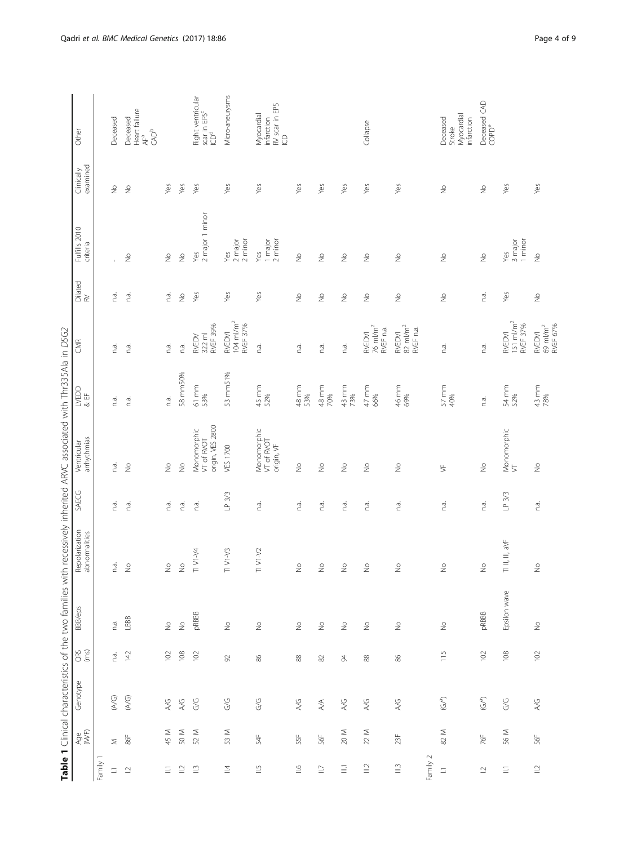|                                 |                |                         |                                               |                                                         |                                 |        | Table 1 Clinical characteristics of the two families with recessively inherited ARVC associated with Thr335Ala in DSG2 |                     |                                             |                          |                             |                          |                                                                   |
|---------------------------------|----------------|-------------------------|-----------------------------------------------|---------------------------------------------------------|---------------------------------|--------|------------------------------------------------------------------------------------------------------------------------|---------------------|---------------------------------------------|--------------------------|-----------------------------|--------------------------|-------------------------------------------------------------------|
|                                 | Age<br>(WF)    | Genotype                | QRS<br>(ms)                                   | BBB/eps                                                 | Repolarization<br>abnormalities | SAECG  | arrhythmias<br>Ventricular                                                                                             | <b>NEDD</b><br>& EF | <b>SKR</b>                                  | Dilated<br>RV            | Fulfills 2010<br>criteria   | examined<br>Clinically   | Other                                                             |
| Family 1                        |                |                         |                                               |                                                         |                                 |        |                                                                                                                        |                     |                                             |                          |                             |                          |                                                                   |
| E                               | $\leq$         | (AVG)                   | n.a.                                          | n.a.                                                    | n.a.                            | n.a.   | n.a.                                                                                                                   | n.a.                | n.a.                                        | n.a.                     | $\mathbf{r}$                | $\frac{1}{2}$            | Deceased                                                          |
| $\bar{\omega}$                  | $86\mathrm{F}$ | $\widetilde{(\forall)}$ | 142                                           | $\begin{array}{c} \text{LBB} \\ \text{LBB} \end{array}$ | $\circ$<br>z                    | n.a.   | $\frac{1}{2}$                                                                                                          | n.a.                | n.a.                                        | n.a.                     | $\stackrel{\circ}{\geq}$    | $\gtrsim$                | Heart failure<br>AF <sup>a</sup><br>Deceased<br>CAD <sup>b</sup>  |
| Ξ                               | 45 M           | $\gtrsim$               | 102                                           | $\stackrel{\circ}{\geq}$                                | $\stackrel{\circ}{\geq}$        | n.a.   | $\frac{1}{2}$                                                                                                          | n.a.                | n.a.                                        | n.a.                     | $\stackrel{\circ}{\geq}$    | Yes                      |                                                                   |
| $\supseteq$                     | 50 M           | A/G                     | 108                                           | $\frac{1}{2}$                                           | $\frac{6}{5}$                   | n.a.   | $\frac{1}{2}$                                                                                                          | 58 mm50%            | n.a.                                        | $\stackrel{\circ}{\geq}$ | $\frac{1}{2}$               | Yes                      |                                                                   |
| $\mathrel{\widehat{=}}$         | 52 M           | G/G                     | 102                                           | pRBBB                                                   | TI VI-V4                        | n.a.   | origin, VES 2800<br>Monomorphic<br>VT of RVOT                                                                          | $61$ mm<br>53%      | <b>RVEF 39%</b><br>$322$ m<br><b>RVEDV</b>  | Yes                      | 2 major 1 minor<br>Yes      | Yes                      | Right ventricular<br>scar in EPS <sup>c</sup><br>ICD <sup>d</sup> |
| $\overline{4}$                  | 53 M           | G/G                     | $\Im$                                         | $\stackrel{\circ}{\geq}$                                | $V1-\sqrt{3}$<br>$\equiv$       | LP 3/3 | VES 1700                                                                                                               | 53 mm51%            | $104 \text{ m/m}^2$<br>RVEF 37%<br>RVEDVI   | Yes                      | 2 major<br>$2$ minor<br>Yes | Yes                      | Micro-aneurysms                                                   |
| $\stackrel{\text{\tiny{L}}}{=}$ | 54F            | $\frac{C}{G}$           | $86$                                          | $\stackrel{\circ}{\geq}$                                | $T1 V1-V2$                      | n.a.   | Monomorphic<br>VT of RVOT<br>origin, VF                                                                                | 45 mm<br>52%        | n.a.                                        | Yes                      | 1 major<br>$2$ minor<br>Yes | Yes                      | RV scar in EPS<br>ICD<br>Myocardial<br>infarction                 |
| $\cong$                         | 55F            | A/G                     | $\stackrel{\textstyle\circ}{\textstyle\circ}$ | $\stackrel{\circ}{\geq}$                                | $\stackrel{\circ}{\geq}$        | n.a.   | $\frac{1}{2}$                                                                                                          | 48 mm<br>53%        | n.a.                                        | $\stackrel{\circ}{\geq}$ | $\stackrel{\circ}{\geq}$    | Yes                      |                                                                   |
| $\supseteq$                     | 56F            | $\mathbb{A}\mathbb{A}$  | $\approx$                                     | $\stackrel{\circ}{\geq}$                                | $\overline{\circ}$<br>z         | n.a.   | $\geq$                                                                                                                 | 48 mm<br>70%        | n.a.                                        | $\stackrel{\circ}{\geq}$ | $\geq$                      | Yes                      |                                                                   |
| $\Xi$                           | $20\,$ M       | A/G                     | $\beta$                                       | $\stackrel{\circ}{\geq}$                                | $\stackrel{\circ}{\geq}$        | n.a.   | $\geq$                                                                                                                 | 43 mm<br>73%        | n.a.                                        | $\stackrel{\circ}{\geq}$ | $\stackrel{\circ}{\geq}$    | Yes                      |                                                                   |
| $\supseteq$                     | $22 M$         | $A/G$                   | 88                                            | $\stackrel{\circ}{\geq}$                                | $\frac{1}{2}$                   | n.a.   | $\stackrel{\circ}{\geq}$                                                                                               | $47$ mm<br>66%      | $76$ m $/m2$<br>RVEF n.a.<br>RVEDVI         | $\stackrel{\circ}{\geq}$ | $\geq$                      | Yes                      | Collapse                                                          |
| $\stackrel{\sim}{\equiv}$       | 23F            | $\lambda/\mathbb{G}$    | $86$                                          | $\stackrel{\circ}{\geq}$                                | $\stackrel{\circ}{\geq}$        | n.a.   | $\geq$                                                                                                                 | 46 mm<br>69%        | $82 \text{ m/m}^2$<br>RVEF n.a.<br>RVEDVI   | $\stackrel{\circ}{\geq}$ | $\stackrel{\circ}{\geq}$    | Yes                      |                                                                   |
| Family 2                        |                |                         |                                               |                                                         |                                 |        |                                                                                                                        |                     |                                             |                          |                             |                          |                                                                   |
| $\equiv$                        | 82 M           | $(\mathbb{G}^{\rho})$   | 115                                           | $\stackrel{\circ}{\geq}$                                | $\stackrel{\circ}{\geq}$        | n.a.   | $\frac{1}{2}$                                                                                                          | $57$ mm<br>40%      | n.a.                                        | $\stackrel{\circ}{\geq}$ | $\frac{1}{2}$               | $\frac{0}{2}$            | Myocardial<br>Deceased<br>infarction<br>Stroke                    |
| $\supseteq$                     | 76F            | $(\mathbb{G}/^{n})$     | 102                                           | pRBBB                                                   | $\frac{1}{2}$                   | n.a.   | $\stackrel{\circ}{\geq}$                                                                                               | n.a.                | n.a.                                        | n.a.                     | $\stackrel{\circ}{\geq}$    | $\stackrel{\circ}{\geq}$ | Deceased CAD<br>COPD <sup>e</sup>                                 |
| $\Xi$                           | 56 M           | G/G                     | 108                                           | Epsilon wave                                            | $71$ II, III, aVF               | LP 3/3 | Monomorphic<br>VT                                                                                                      | 54 mm<br>52%        | 151 ml/m <sup>2</sup><br>RVEF 37%<br>RVEDVI | Yes                      | Yes<br>3 major<br>1 minor   | Yes                      |                                                                   |
| $\supseteq$                     | 56F            | 4/6                     | 102                                           | $\stackrel{\circ}{\geq}$                                | $\frac{0}{2}$                   | n.a.   | $\frac{1}{2}$                                                                                                          | 43 mm<br>78%        | 69 ml/m <sup>2</sup><br>RVEF 67%<br>RVEDVI  | $\frac{1}{2}$            | $\frac{1}{2}$               | Yes                      |                                                                   |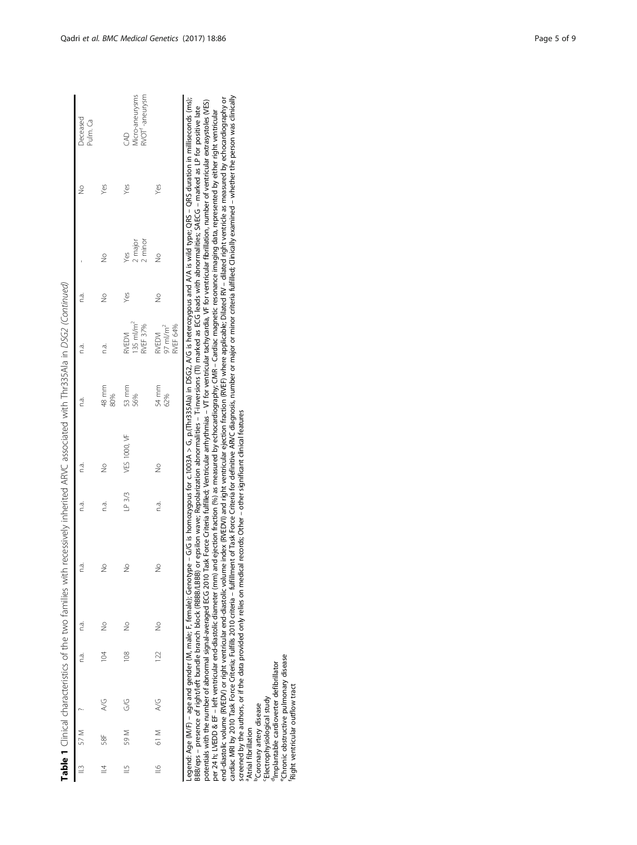| ţ                                                         |
|-----------------------------------------------------------|
| $\overline{\phantom{a}}$<br>l<br>١                        |
| !<br>3<br>í<br>١                                          |
| l                                                         |
| $\ddot{\phantom{a}}$                                      |
|                                                           |
| i<br>j                                                    |
|                                                           |
| )<br>۱<br>i<br>i<br>ï                                     |
|                                                           |
| $\frac{1}{2}$<br>ï                                        |
|                                                           |
| Ï<br>f<br>۱                                               |
| ï<br>í<br>i<br>I                                          |
| $\frac{1}{2}$<br>i<br>$\ddot{\phantom{a}}$<br>I<br>;<br>; |
| Table                                                     |

|               |      |             |     |               |               |             | Table 1 Clinical characteristics of the two families with recessively inherited ARVC associated with Thr335Ala in DSG2 (Continued) |              |                                              |               |                           |     |                                                       |
|---------------|------|-------------|-----|---------------|---------------|-------------|------------------------------------------------------------------------------------------------------------------------------------|--------------|----------------------------------------------|---------------|---------------------------|-----|-------------------------------------------------------|
|               | 57 M |             | na. | n.a.          | n.a.          | n.a.<br>na. |                                                                                                                                    | n.a.         | na.                                          | n.a.          |                           | ž   | Deceased<br>Pulm. Ca                                  |
| $\equiv$      | 58F  | $rac{C}{A}$ | 104 | $\frac{1}{2}$ | $\frac{1}{2}$ | n.a.        | $\frac{1}{2}$                                                                                                                      | 48 mm<br>80% | n.a.                                         | $\frac{9}{2}$ | $\frac{1}{2}$             | Yes |                                                       |
| $\frac{5}{1}$ | 59 M | G/G         | 108 | $\frac{0}{2}$ | $\frac{1}{2}$ |             | LP 3/3 VES 1000, VF                                                                                                                | 53 mm        | RVEDVI<br>135 ml/m <sup>2</sup><br>RVEF 37%  | Yes           | Yes<br>2 major<br>2 minor | Yes | Aicro-aneurysms<br>RVOT <sup>f</sup> -aneurysm<br>CAD |
| $\cong$       | 61 M | A/G         | 122 | $\frac{1}{2}$ | $\frac{1}{2}$ | n.a.        | $\frac{1}{2}$                                                                                                                      | 54 mm<br>62% | RVEF 64%<br>$MEDM$<br>$97$ ml/m <sup>2</sup> | $\frac{1}{2}$ | $\frac{1}{2}$             | Yes |                                                       |

Legend: Age (M/F) – age and gender (M, male: F, female); Genotype – G/G is homozygous for c.1003A > G, p.(Thr335Ala) in DSG2, A/G is heterozygous and A/A is wild type: QRS – QRS duration in milliseconds (ms);<br>BB8/eps – pre cardiac MRI by 2010 Task Force Criteria; Fulfillis 2010 criteria - fulfillment of Task Force Criteria for definitive ARVC diagnosis, number or major or minor criteria fulfilled; Clinically examined – whether the person was end-diastolic volume (RVEDV) or right ventricular end-diastolic volume index (RVEDVI) and right ventricular ejection fraction (RVEF) where applicable; Dilated RV – dilated right ventricle as measured by echocardiography or Legend: Age (M/F) – age and gender (M, male; F, female); Genotype – G/G is homozygous for c.1003A > G, p.(Thr335Ala) in DSG2, A/G is heterozygous and A/A is wild type; QRS – QRS duration in milliseconds (ms); potentials with the number of abnormal signal-averaged ECG 2010 Task Force Criteria fulfilled; Ventricular arrhythmias – VT for ventricular tachycardia, VF for ventricular fibrillation, number of ventricular extrasystoles BBB/eps – presence of right/left bundle branch block (RBBB/LBBB) or epsilon wave; Repolarization abnormalities; SAECG – marked as LP for positive late per 24 h; LVEDD & EF – left ventricular end-diastolic diameter (mm) and ejection fraction (%) as measured by echocardiography; CMR – Cardiac magnetic resonance imaging data, represented by either right ventricular screened by the authors, or if the data provided only relies on medical records; Other – other significant clinical features screened by the authors, or if the data provided only relies on medical records; Other – other significant clinical features <sup>a</sup>Atrial fibrillation aAtrial fibrillation

**PCoronary artery disease bCoronary artery disease** 

'Electrophysiological study<br><sup>d</sup>Implantable cardioverter defibrillator<br>"Chronic obstructive pulmonary disease<br>"Right ventricular outflow tract <sup>d</sup>Implantable cardioverter defibrillator cElectrophysiological study

<sup>e</sup>Chronic obstructive pulmonary disease<br>'Right ventricular outflow tract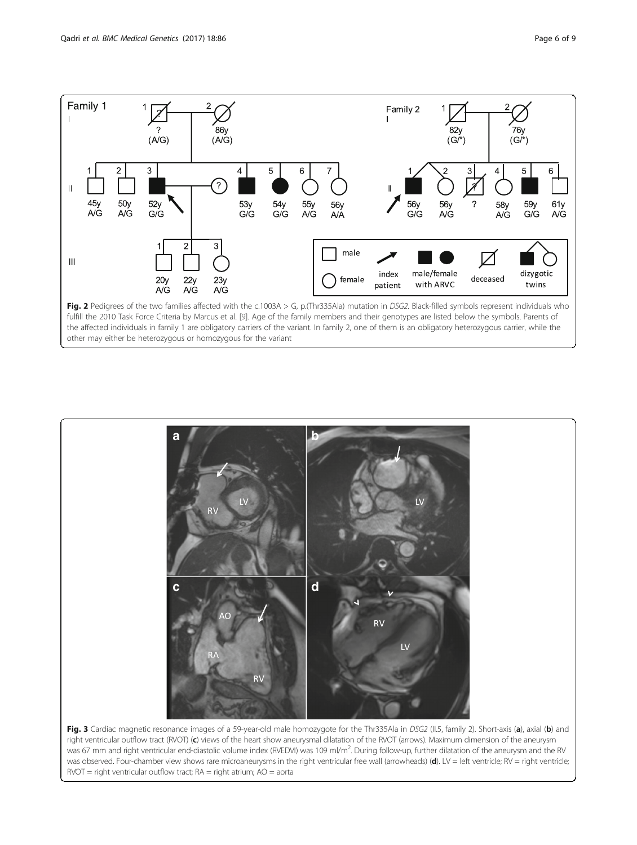



right ventricular outflow tract (RVOT) (c) views of the heart show aneurysmal dilatation of the RVOT (arrows). Maximum dimension of the aneurysm was 67 mm and right ventricular end-diastolic volume index (RVEDVI) was 109 ml/m<sup>2</sup>. During follow-up, further dilatation of the aneurysm and the RV was observed. Four-chamber view shows rare microaneurysms in the right ventricular free wall (arrowheads) (d). LV = left ventricle; RV = right ventricle;  $RVOT =$  right ventricular outflow tract;  $RA =$  right atrium;  $AO =$  aorta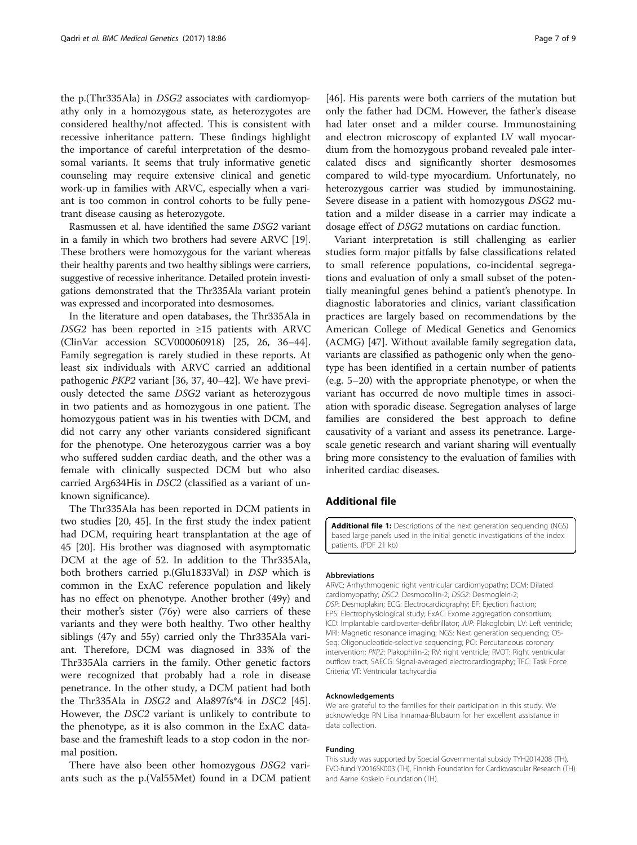the p.(Thr335Ala) in DSG2 associates with cardiomyopathy only in a homozygous state, as heterozygotes are considered healthy/not affected. This is consistent with recessive inheritance pattern. These findings highlight the importance of careful interpretation of the desmosomal variants. It seems that truly informative genetic counseling may require extensive clinical and genetic work-up in families with ARVC, especially when a variant is too common in control cohorts to be fully penetrant disease causing as heterozygote.

Rasmussen et al. have identified the same DSG2 variant in a family in which two brothers had severe ARVC [19]. These brothers were homozygous for the variant whereas their healthy parents and two healthy siblings were carriers, suggestive of recessive inheritance. Detailed protein investigations demonstrated that the Thr335Ala variant protein was expressed and incorporated into desmosomes.

In the literature and open databases, the Thr335Ala in DSG2 has been reported in ≥15 patients with ARVC (ClinVar accession SCV000060918) [25, 26, 36–44]. Family segregation is rarely studied in these reports. At least six individuals with ARVC carried an additional pathogenic PKP2 variant [36, 37, 40–42]. We have previously detected the same DSG2 variant as heterozygous in two patients and as homozygous in one patient. The homozygous patient was in his twenties with DCM, and did not carry any other variants considered significant for the phenotype. One heterozygous carrier was a boy who suffered sudden cardiac death, and the other was a female with clinically suspected DCM but who also carried Arg634His in DSC2 (classified as a variant of unknown significance).

The Thr335Ala has been reported in DCM patients in two studies [20, 45]. In the first study the index patient had DCM, requiring heart transplantation at the age of 45 [20]. His brother was diagnosed with asymptomatic DCM at the age of 52. In addition to the Thr335Ala, both brothers carried p.(Glu1833Val) in DSP which is common in the ExAC reference population and likely has no effect on phenotype. Another brother (49y) and their mother's sister (76y) were also carriers of these variants and they were both healthy. Two other healthy siblings (47y and 55y) carried only the Thr335Ala variant. Therefore, DCM was diagnosed in 33% of the Thr335Ala carriers in the family. Other genetic factors were recognized that probably had a role in disease penetrance. In the other study, a DCM patient had both the Thr335Ala in *DSG2* and Ala897fs\*4 in *DSC2* [45]. However, the DSC2 variant is unlikely to contribute to the phenotype, as it is also common in the ExAC database and the frameshift leads to a stop codon in the normal position.

There have also been other homozygous DSG2 variants such as the p.(Val55Met) found in a DCM patient

[46]. His parents were both carriers of the mutation but only the father had DCM. However, the father's disease had later onset and a milder course. Immunostaining and electron microscopy of explanted LV wall myocardium from the homozygous proband revealed pale intercalated discs and significantly shorter desmosomes compared to wild-type myocardium. Unfortunately, no heterozygous carrier was studied by immunostaining. Severe disease in a patient with homozygous DSG2 mutation and a milder disease in a carrier may indicate a dosage effect of DSG2 mutations on cardiac function.

Variant interpretation is still challenging as earlier studies form major pitfalls by false classifications related to small reference populations, co-incidental segregations and evaluation of only a small subset of the potentially meaningful genes behind a patient's phenotype. In diagnostic laboratories and clinics, variant classification practices are largely based on recommendations by the American College of Medical Genetics and Genomics (ACMG) [47]. Without available family segregation data, variants are classified as pathogenic only when the genotype has been identified in a certain number of patients (e.g. 5–20) with the appropriate phenotype, or when the variant has occurred de novo multiple times in association with sporadic disease. Segregation analyses of large families are considered the best approach to define causativity of a variant and assess its penetrance. Largescale genetic research and variant sharing will eventually bring more consistency to the evaluation of families with inherited cardiac diseases.

## Additional file

[Additional file 1:](dx.doi.org/10.1186/s12881-017-0442-3) Descriptions of the next generation sequencing (NGS) based large panels used in the initial genetic investigations of the index patients. (PDF 21 kb)

#### Abbreviations

ARVC: Arrhythmogenic right ventricular cardiomyopathy; DCM: Dilated cardiomyopathy; DSC2: Desmocollin-2; DSG2: Desmoglein-2; DSP: Desmoplakin; ECG: Electrocardiography; EF: Ejection fraction; EPS: Electrophysiological study; ExAC: Exome aggregation consortium; ICD: Implantable cardioverter-defibrillator; JUP: Plakoglobin; LV: Left ventricle; MRI: Magnetic resonance imaging; NGS: Next generation sequencing; OS-Seq: Oligonucleotide-selective sequencing; PCI: Percutaneous coronary intervention; PKP2: Plakophilin-2; RV: right ventricle; RVOT: Right ventricular outflow tract; SAECG: Signal-averaged electrocardiography; TFC: Task Force Criteria; VT: Ventricular tachycardia

#### Acknowledgements

We are grateful to the families for their participation in this study. We acknowledge RN Liisa Innamaa-Blubaum for her excellent assistance in data collection.

#### Funding

This study was supported by Special Governmental subsidy TYH2014208 (TH), EVO-fund Y2016SK003 (TH), Finnish Foundation for Cardiovascular Research (TH) and Aarne Koskelo Foundation (TH).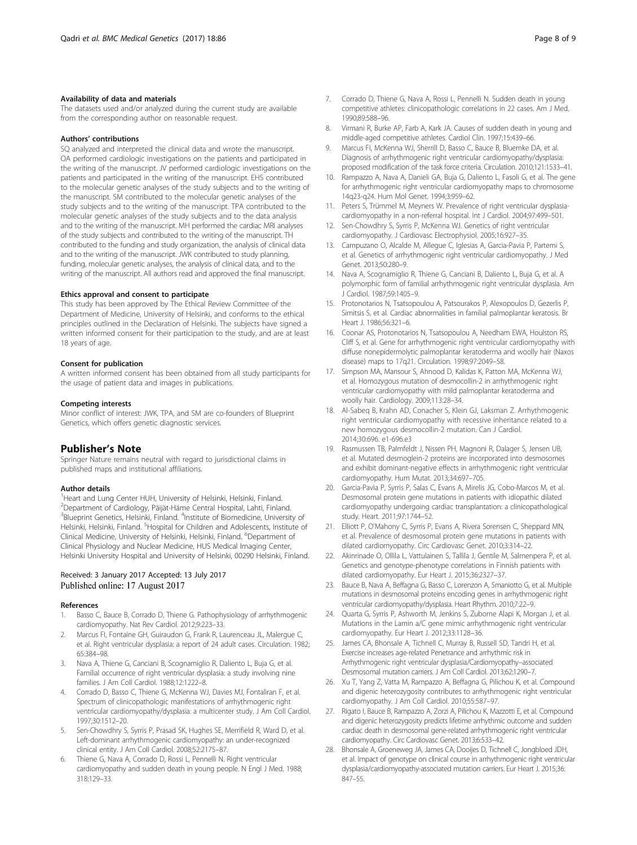#### Availability of data and materials

The datasets used and/or analyzed during the current study are available from the corresponding author on reasonable request.

#### Authors' contributions

SQ analyzed and interpreted the clinical data and wrote the manuscript. OA performed cardiologic investigations on the patients and participated in the writing of the manuscript. JV performed cardiologic investigations on the patients and participated in the writing of the manuscript. EHS contributed to the molecular genetic analyses of the study subjects and to the writing of the manuscript. SM contributed to the molecular genetic analyses of the study subjects and to the writing of the manuscript. TPA contributed to the molecular genetic analyses of the study subjects and to the data analysis and to the writing of the manuscript. MH performed the cardiac MRI analyses of the study subjects and contributed to the writing of the manuscript. TH contributed to the funding and study organization, the analysis of clinical data and to the writing of the manuscript. JWK contributed to study planning, funding, molecular genetic analyses, the analysis of clinical data, and to the writing of the manuscript. All authors read and approved the final manuscript.

#### Ethics approval and consent to participate

This study has been approved by The Ethical Review Committee of the Department of Medicine, University of Helsinki, and conforms to the ethical principles outlined in the Declaration of Helsinki. The subjects have signed a written informed consent for their participation to the study, and are at least 18 years of age.

#### Consent for publication

A written informed consent has been obtained from all study participants for the usage of patient data and images in publications.

#### Competing interests

Minor conflict of interest: JWK, TPA, and SM are co-founders of Blueprint Genetics, which offers genetic diagnostic services.

## Publisher's Note

Springer Nature remains neutral with regard to jurisdictional claims in published maps and institutional affiliations.

#### Author details

<sup>1</sup> Heart and Lung Center HUH, University of Helsinki, Helsinki, Finland. 2 Department of Cardiology, Päijät-Häme Central Hospital, Lahti, Finland. <sup>3</sup>Blueprint Genetics, Helsinki, Finland. <sup>4</sup>Institute of Biomedicine, University of Helsinki, Helsinki, Finland. <sup>5</sup>Hospital for Children and Adolescents, Institute of Clinical Medicine, University of Helsinki, Helsinki, Finland. <sup>6</sup>Department of Clinical Physiology and Nuclear Medicine, HUS Medical Imaging Center, Helsinki University Hospital and University of Helsinki, 00290 Helsinki, Finland.

#### Received: 3 January 2017 Accepted: 13 July 2017 Published online: 17 August 2017

#### References

- 1. Basso C, Bauce B, Corrado D, Thiene G. Pathophysiology of arrhythmogenic cardiomyopathy. Nat Rev Cardiol. 2012;9:223–33.
- 2. Marcus FI, Fontaine GH, Guiraudon G, Frank R, Laurenceau JL, Malergue C, et al. Right ventricular dysplasia: a report of 24 adult cases. Circulation. 1982; 65:384–98.
- Nava A, Thiene G, Canciani B, Scognamiglio R, Daliento L, Buja G, et al. Familial occurrence of right ventricular dysplasia: a study involving nine families. J Am Coll Cardiol. 1988;12:1222–8.
- 4. Corrado D, Basso C, Thiene G, McKenna WJ, Davies MJ, Fontaliran F, et al. Spectrum of clinicopathologic manifestations of arrhythmogenic right ventricular cardiomyopathy/dysplasia: a multicenter study. J Am Coll Cardiol. 1997;30:1512–20.
- Sen-Chowdhry S, Syrris P, Prasad SK, Hughes SE, Merrifield R, Ward D, et al. Left-dominant arrhythmogenic cardiomyopathy: an under-recognized clinical entity. J Am Coll Cardiol. 2008;52:2175–87.
- Thiene G, Nava A, Corrado D, Rossi L, Pennelli N. Right ventricular cardiomyopathy and sudden death in young people. N Engl J Med. 1988; 318:129–33.
- 7. Corrado D, Thiene G, Nava A, Rossi L, Pennelli N. Sudden death in young competitive athletes: clinicopathologic correlations in 22 cases. Am J Med. 1990;89:588–96.
- 8. Virmani R, Burke AP, Farb A, Kark JA. Causes of sudden death in young and middle-aged competitive athletes. Cardiol Clin. 1997;15:439–66.
- 9. Marcus FI, McKenna WJ, Sherrill D, Basso C, Bauce B, Bluemke DA, et al. Diagnosis of arrhythmogenic right ventricular cardiomyopathy/dysplasia: proposed modification of the task force criteria. Circulation. 2010;121:1533–41.
- 10. Rampazzo A, Nava A, Danieli GA, Buja G, Daliento L, Fasoli G, et al. The gene for arrhythmogenic right ventricular cardiomyopathy maps to chromosome 14q23-q24. Hum Mol Genet. 1994;3:959–62.
- 11. Peters S, Trümmel M, Meyners W. Prevalence of right ventricular dysplasiacardiomyopathy in a non-referral hospital. Int J Cardiol. 2004;97:499–501.
- 12. Sen-Chowdhry S, Syrris P, McKenna WJ. Genetics of right ventricular cardiomyopathy. J Cardiovasc Electrophysiol. 2005;16:927–35.
- 13. Campuzano O, Alcalde M, Allegue C, Iglesias A, Garcia-Pavia P, Partemi S, et al. Genetics of arrhythmogenic right ventricular cardiomyopathy. J Med Genet. 2013;50:280–9.
- 14. Nava A, Scognamiglio R, Thiene G, Canciani B, Daliento L, Buja G, et al. A polymorphic form of familial arrhythmogenic right ventricular dysplasia. Am J Cardiol. 1987;59:1405–9.
- 15. Protonotarios N, Tsatsopoulou A, Patsourakos P, Alexopoulos D, Gezerlis P, Simitsis S, et al. Cardiac abnormalities in familial palmoplantar keratosis. Br Heart J. 1986;56:321–6.
- 16. Coonar AS, Protonotarios N, Tsatsopoulou A, Needham EWA, Houlston RS, Cliff S, et al. Gene for arrhythmogenic right ventricular cardiomyopathy with diffuse nonepidermolytic palmoplantar keratoderma and woolly hair (Naxos disease) maps to 17q21. Circulation. 1998;97:2049–58.
- 17. Simpson MA, Mansour S, Ahnood D, Kalidas K, Patton MA, McKenna WJ, et al. Homozygous mutation of desmocollin-2 in arrhythmogenic right ventricular cardiomyopathy with mild palmoplantar keratoderma and woolly hair. Cardiology. 2009;113:28–34.
- 18. Al-Sabeq B, Krahn AD, Conacher S, Klein GJ, Laksman Z. Arrhythmogenic right ventricular cardiomyopathy with recessive inheritance related to a new homozygous desmocollin-2 mutation. Can J Cardiol. 2014;30:696. e1-696.e3
- 19. Rasmussen TB, Palmfeldt J, Nissen PH, Magnoni R, Dalager S, Jensen UB, et al. Mutated desmoglein-2 proteins are incorporated into desmosomes and exhibit dominant-negative effects in arrhythmogenic right ventricular cardiomyopathy. Hum Mutat. 2013;34:697–705.
- 20. Garcia-Pavia P, Syrris P, Salas C, Evans A, Mirelis JG, Cobo-Marcos M, et al. Desmosomal protein gene mutations in patients with idiopathic dilated cardiomyopathy undergoing cardiac transplantation: a clinicopathological study. Heart. 2011;97:1744–52.
- 21. Elliott P, O'Mahony C, Syrris P, Evans A, Rivera Sorensen C, Sheppard MN, et al. Prevalence of desmosomal protein gene mutations in patients with dilated cardiomyopathy. Circ Cardiovasc Genet. 2010;3:314–22.
- 22. Akinrinade O, Ollila L, Vattulainen S, Tallila J, Gentile M, Salmenpera P, et al. Genetics and genotype-phenotype correlations in Finnish patients with dilated cardiomyopathy. Eur Heart J. 2015;36:2327–37.
- 23. Bauce B, Nava A, Beffagna G, Basso C, Lorenzon A, Smaniotto G, et al. Multiple mutations in desmosomal proteins encoding genes in arrhythmogenic right ventricular cardiomyopathy/dysplasia. Heart Rhythm. 2010;7:22–9.
- 24. Quarta G, Syrris P, Ashworth M, Jenkins S, Zuborne Alapi K, Morgan J, et al. Mutations in the Lamin a/C gene mimic arrhythmogenic right ventricular cardiomyopathy. Eur Heart J. 2012;33:1128–36.
- 25. James CA, Bhonsale A, Tichnell C, Murray B, Russell SD, Tandri H, et al. Exercise increases age-related Penetrance and arrhythmic risk in Arrhythmogenic right ventricular dysplasia/Cardiomyopathy–associated Desmosomal mutation carriers. J Am Coll Cardiol. 2013;62:1290–7.
- 26. Xu T, Yang Z, Vatta M, Rampazzo A, Beffagna G, Pilichou K, et al. Compound and digenic heterozygosity contributes to arrhythmogenic right ventricular cardiomyopathy. J Am Coll Cardiol. 2010;55:587–97.
- 27. Rigato I, Bauce B, Rampazzo A, Zorzi A, Pilichou K, Mazzotti E, et al. Compound and digenic heterozygosity predicts lifetime arrhythmic outcome and sudden cardiac death in desmosomal gene-related arrhythmogenic right ventricular cardiomyopathy. Circ Cardiovasc Genet. 2013;6:533–42.
- 28. Bhonsale A, Groeneweg JA, James CA, Dooijes D, Tichnell C, Jongbloed JDH, et al. Impact of genotype on clinical course in arrhythmogenic right ventricular dysplasia/cardiomyopathy-associated mutation carriers. Eur Heart J. 2015;36: 847–55.